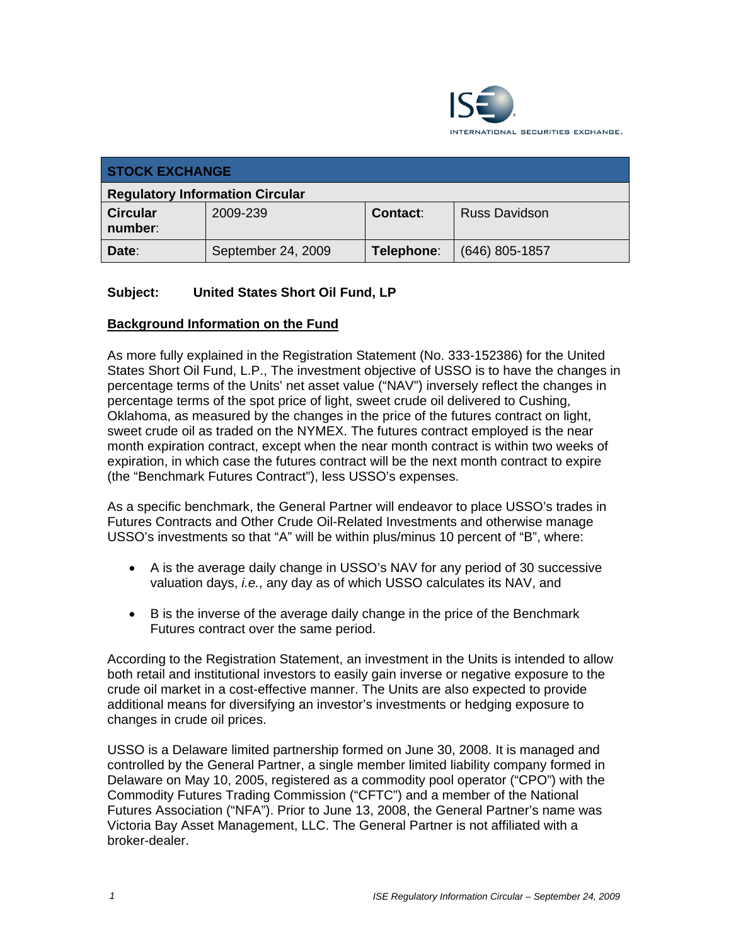

| <b>STOCK EXCHANGE</b>                  |                    |                 |                      |  |  |
|----------------------------------------|--------------------|-----------------|----------------------|--|--|
| <b>Regulatory Information Circular</b> |                    |                 |                      |  |  |
| <b>Circular</b><br>number:             | 2009-239           | <b>Contact:</b> | <b>Russ Davidson</b> |  |  |
| Date:                                  | September 24, 2009 | Telephone:      | (646) 805-1857       |  |  |

## **Subject: United States Short Oil Fund, LP**

### **Background Information on the Fund**

As more fully explained in the Registration Statement (No. 333-152386) for the United States Short Oil Fund, L.P., The investment objective of USSO is to have the changes in percentage terms of the Units' net asset value ("NAV") inversely reflect the changes in percentage terms of the spot price of light, sweet crude oil delivered to Cushing, Oklahoma, as measured by the changes in the price of the futures contract on light, sweet crude oil as traded on the NYMEX. The futures contract employed is the near month expiration contract, except when the near month contract is within two weeks of expiration, in which case the futures contract will be the next month contract to expire (the "Benchmark Futures Contract"), less USSO's expenses.

As a specific benchmark, the General Partner will endeavor to place USSO's trades in Futures Contracts and Other Crude Oil-Related Investments and otherwise manage USSO's investments so that "A" will be within plus/minus 10 percent of "B", where:

- A is the average daily change in USSO's NAV for any period of 30 successive valuation days, *i.e.*, any day as of which USSO calculates its NAV, and
- B is the inverse of the average daily change in the price of the Benchmark Futures contract over the same period.

According to the Registration Statement, an investment in the Units is intended to allow both retail and institutional investors to easily gain inverse or negative exposure to the crude oil market in a cost-effective manner. The Units are also expected to provide additional means for diversifying an investor's investments or hedging exposure to changes in crude oil prices.

USSO is a Delaware limited partnership formed on June 30, 2008. It is managed and controlled by the General Partner, a single member limited liability company formed in Delaware on May 10, 2005, registered as a commodity pool operator ("CPO") with the Commodity Futures Trading Commission ("CFTC") and a member of the National Futures Association ("NFA"). Prior to June 13, 2008, the General Partner's name was Victoria Bay Asset Management, LLC. The General Partner is not affiliated with a broker-dealer.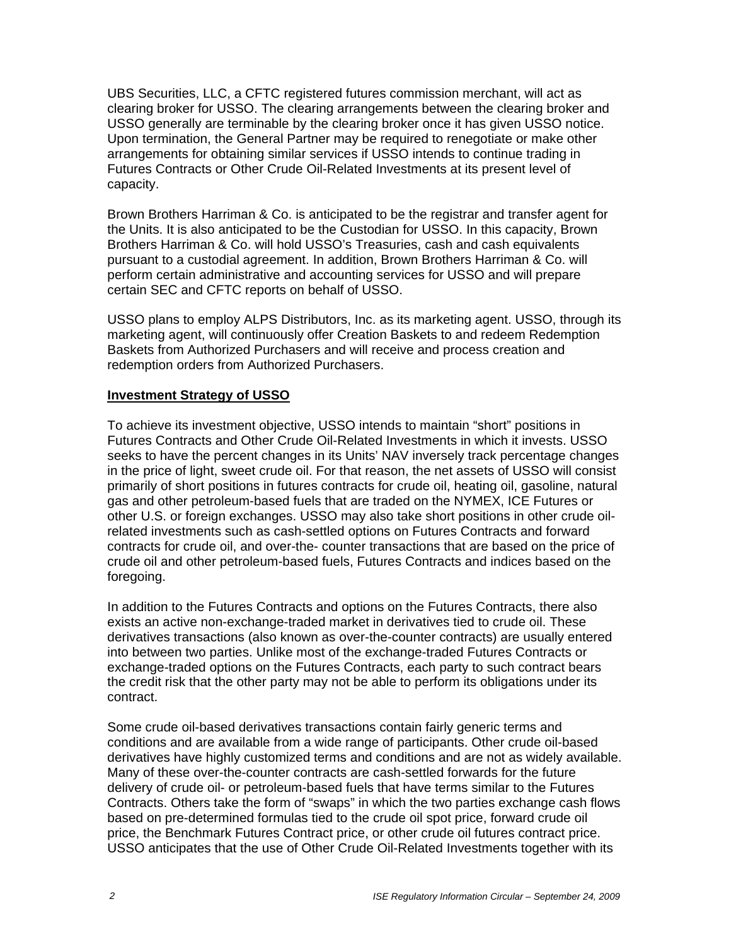UBS Securities, LLC, a CFTC registered futures commission merchant, will act as clearing broker for USSO. The clearing arrangements between the clearing broker and USSO generally are terminable by the clearing broker once it has given USSO notice. Upon termination, the General Partner may be required to renegotiate or make other arrangements for obtaining similar services if USSO intends to continue trading in Futures Contracts or Other Crude Oil-Related Investments at its present level of capacity.

Brown Brothers Harriman & Co. is anticipated to be the registrar and transfer agent for the Units. It is also anticipated to be the Custodian for USSO. In this capacity, Brown Brothers Harriman & Co. will hold USSO's Treasuries, cash and cash equivalents pursuant to a custodial agreement. In addition, Brown Brothers Harriman & Co. will perform certain administrative and accounting services for USSO and will prepare certain SEC and CFTC reports on behalf of USSO.

USSO plans to employ ALPS Distributors, Inc. as its marketing agent. USSO, through its marketing agent, will continuously offer Creation Baskets to and redeem Redemption Baskets from Authorized Purchasers and will receive and process creation and redemption orders from Authorized Purchasers.

#### **Investment Strategy of USSO**

To achieve its investment objective, USSO intends to maintain "short" positions in Futures Contracts and Other Crude Oil-Related Investments in which it invests. USSO seeks to have the percent changes in its Units' NAV inversely track percentage changes in the price of light, sweet crude oil. For that reason, the net assets of USSO will consist primarily of short positions in futures contracts for crude oil, heating oil, gasoline, natural gas and other petroleum-based fuels that are traded on the NYMEX, ICE Futures or other U.S. or foreign exchanges. USSO may also take short positions in other crude oilrelated investments such as cash-settled options on Futures Contracts and forward contracts for crude oil, and over-the- counter transactions that are based on the price of crude oil and other petroleum-based fuels, Futures Contracts and indices based on the foregoing.

In addition to the Futures Contracts and options on the Futures Contracts, there also exists an active non-exchange-traded market in derivatives tied to crude oil. These derivatives transactions (also known as over-the-counter contracts) are usually entered into between two parties. Unlike most of the exchange-traded Futures Contracts or exchange-traded options on the Futures Contracts, each party to such contract bears the credit risk that the other party may not be able to perform its obligations under its contract.

Some crude oil-based derivatives transactions contain fairly generic terms and conditions and are available from a wide range of participants. Other crude oil-based derivatives have highly customized terms and conditions and are not as widely available. Many of these over-the-counter contracts are cash-settled forwards for the future delivery of crude oil- or petroleum-based fuels that have terms similar to the Futures Contracts. Others take the form of "swaps" in which the two parties exchange cash flows based on pre-determined formulas tied to the crude oil spot price, forward crude oil price, the Benchmark Futures Contract price, or other crude oil futures contract price. USSO anticipates that the use of Other Crude Oil-Related Investments together with its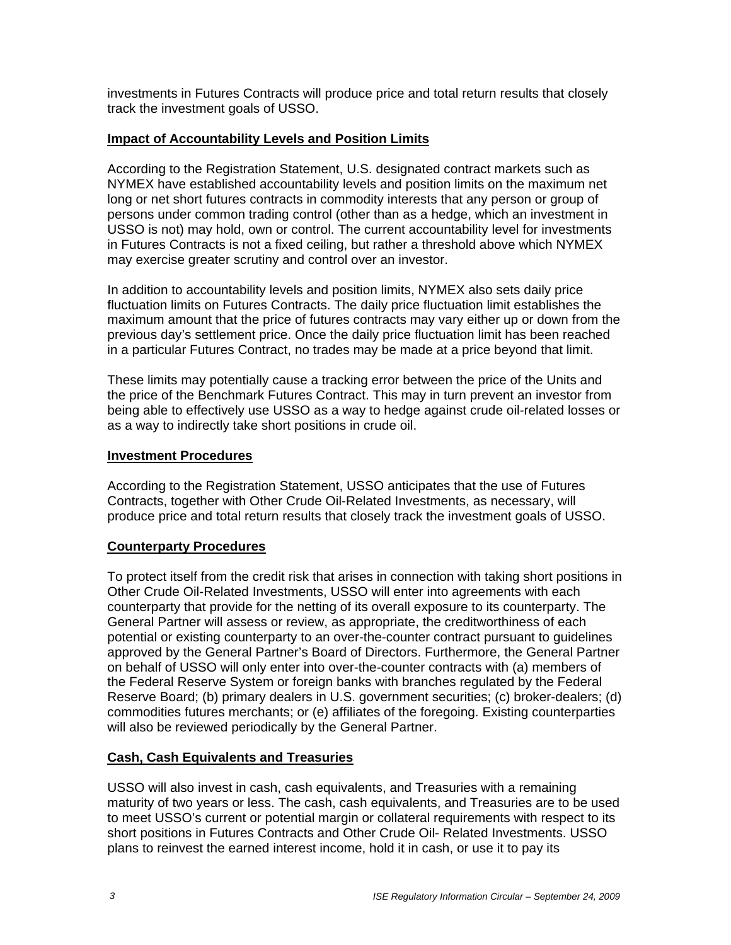investments in Futures Contracts will produce price and total return results that closely track the investment goals of USSO.

## **Impact of Accountability Levels and Position Limits**

According to the Registration Statement, U.S. designated contract markets such as NYMEX have established accountability levels and position limits on the maximum net long or net short futures contracts in commodity interests that any person or group of persons under common trading control (other than as a hedge, which an investment in USSO is not) may hold, own or control. The current accountability level for investments in Futures Contracts is not a fixed ceiling, but rather a threshold above which NYMEX may exercise greater scrutiny and control over an investor.

In addition to accountability levels and position limits, NYMEX also sets daily price fluctuation limits on Futures Contracts. The daily price fluctuation limit establishes the maximum amount that the price of futures contracts may vary either up or down from the previous day's settlement price. Once the daily price fluctuation limit has been reached in a particular Futures Contract, no trades may be made at a price beyond that limit.

These limits may potentially cause a tracking error between the price of the Units and the price of the Benchmark Futures Contract. This may in turn prevent an investor from being able to effectively use USSO as a way to hedge against crude oil-related losses or as a way to indirectly take short positions in crude oil.

### **Investment Procedures**

According to the Registration Statement, USSO anticipates that the use of Futures Contracts, together with Other Crude Oil-Related Investments, as necessary, will produce price and total return results that closely track the investment goals of USSO.

# **Counterparty Procedures**

To protect itself from the credit risk that arises in connection with taking short positions in Other Crude Oil-Related Investments, USSO will enter into agreements with each counterparty that provide for the netting of its overall exposure to its counterparty. The General Partner will assess or review, as appropriate, the creditworthiness of each potential or existing counterparty to an over-the-counter contract pursuant to guidelines approved by the General Partner's Board of Directors. Furthermore, the General Partner on behalf of USSO will only enter into over-the-counter contracts with (a) members of the Federal Reserve System or foreign banks with branches regulated by the Federal Reserve Board; (b) primary dealers in U.S. government securities; (c) broker-dealers; (d) commodities futures merchants; or (e) affiliates of the foregoing. Existing counterparties will also be reviewed periodically by the General Partner.

### **Cash, Cash Equivalents and Treasuries**

USSO will also invest in cash, cash equivalents, and Treasuries with a remaining maturity of two years or less. The cash, cash equivalents, and Treasuries are to be used to meet USSO's current or potential margin or collateral requirements with respect to its short positions in Futures Contracts and Other Crude Oil- Related Investments. USSO plans to reinvest the earned interest income, hold it in cash, or use it to pay its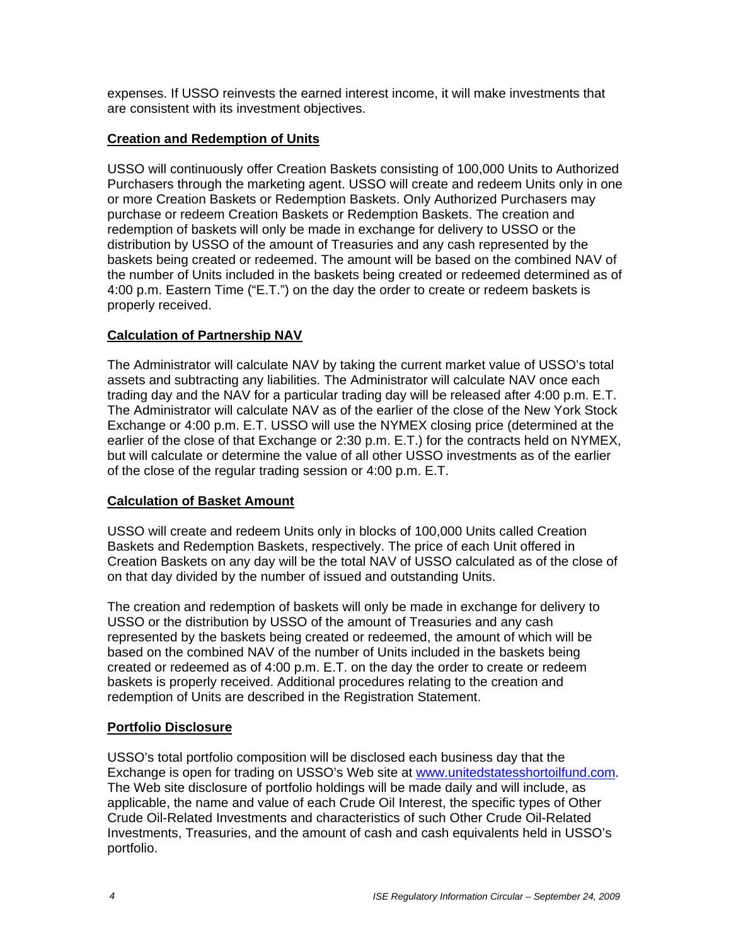expenses. If USSO reinvests the earned interest income, it will make investments that are consistent with its investment objectives.

## **Creation and Redemption of Units**

USSO will continuously offer Creation Baskets consisting of 100,000 Units to Authorized Purchasers through the marketing agent. USSO will create and redeem Units only in one or more Creation Baskets or Redemption Baskets. Only Authorized Purchasers may purchase or redeem Creation Baskets or Redemption Baskets. The creation and redemption of baskets will only be made in exchange for delivery to USSO or the distribution by USSO of the amount of Treasuries and any cash represented by the baskets being created or redeemed. The amount will be based on the combined NAV of the number of Units included in the baskets being created or redeemed determined as of 4:00 p.m. Eastern Time ("E.T.") on the day the order to create or redeem baskets is properly received.

## **Calculation of Partnership NAV**

The Administrator will calculate NAV by taking the current market value of USSO's total assets and subtracting any liabilities. The Administrator will calculate NAV once each trading day and the NAV for a particular trading day will be released after 4:00 p.m. E.T. The Administrator will calculate NAV as of the earlier of the close of the New York Stock Exchange or 4:00 p.m. E.T. USSO will use the NYMEX closing price (determined at the earlier of the close of that Exchange or 2:30 p.m. E.T.) for the contracts held on NYMEX, but will calculate or determine the value of all other USSO investments as of the earlier of the close of the regular trading session or 4:00 p.m. E.T.

### **Calculation of Basket Amount**

USSO will create and redeem Units only in blocks of 100,000 Units called Creation Baskets and Redemption Baskets, respectively. The price of each Unit offered in Creation Baskets on any day will be the total NAV of USSO calculated as of the close of on that day divided by the number of issued and outstanding Units.

The creation and redemption of baskets will only be made in exchange for delivery to USSO or the distribution by USSO of the amount of Treasuries and any cash represented by the baskets being created or redeemed, the amount of which will be based on the combined NAV of the number of Units included in the baskets being created or redeemed as of 4:00 p.m. E.T. on the day the order to create or redeem baskets is properly received. Additional procedures relating to the creation and redemption of Units are described in the Registration Statement.

# **Portfolio Disclosure**

USSO's total portfolio composition will be disclosed each business day that the Exchange is open for trading on USSO's Web site at www.unitedstatesshortoilfund.com. The Web site disclosure of portfolio holdings will be made daily and will include, as applicable, the name and value of each Crude Oil Interest, the specific types of Other Crude Oil-Related Investments and characteristics of such Other Crude Oil-Related Investments, Treasuries, and the amount of cash and cash equivalents held in USSO's portfolio.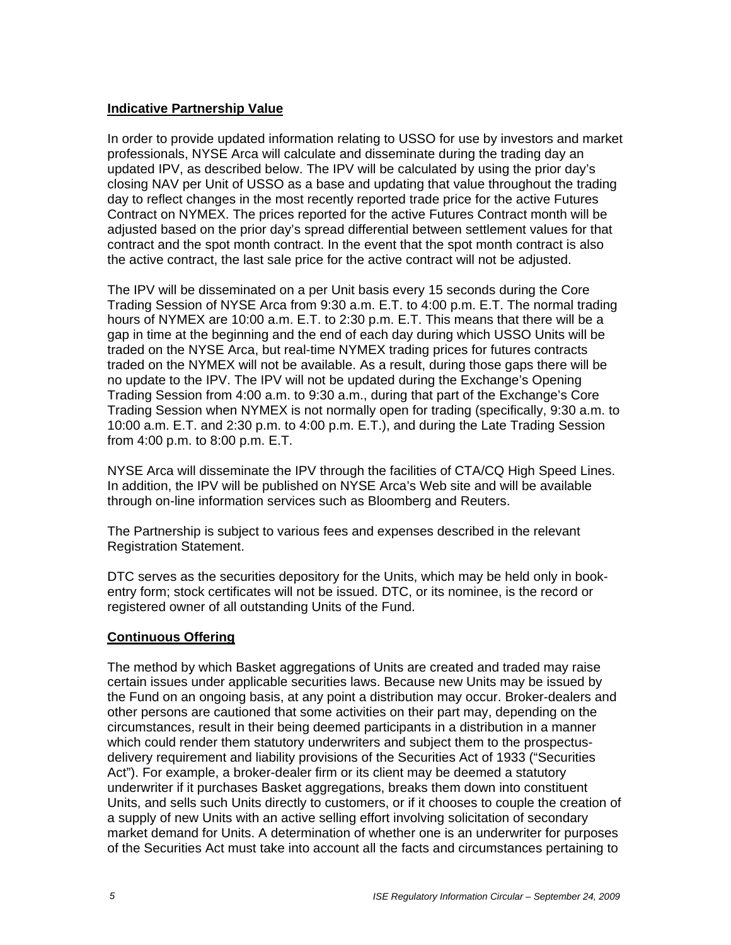#### **Indicative Partnership Value**

In order to provide updated information relating to USSO for use by investors and market professionals, NYSE Arca will calculate and disseminate during the trading day an updated IPV, as described below. The IPV will be calculated by using the prior day's closing NAV per Unit of USSO as a base and updating that value throughout the trading day to reflect changes in the most recently reported trade price for the active Futures Contract on NYMEX. The prices reported for the active Futures Contract month will be adjusted based on the prior day's spread differential between settlement values for that contract and the spot month contract. In the event that the spot month contract is also the active contract, the last sale price for the active contract will not be adjusted.

The IPV will be disseminated on a per Unit basis every 15 seconds during the Core Trading Session of NYSE Arca from 9:30 a.m. E.T. to 4:00 p.m. E.T. The normal trading hours of NYMEX are 10:00 a.m. E.T. to 2:30 p.m. E.T. This means that there will be a gap in time at the beginning and the end of each day during which USSO Units will be traded on the NYSE Arca, but real-time NYMEX trading prices for futures contracts traded on the NYMEX will not be available. As a result, during those gaps there will be no update to the IPV. The IPV will not be updated during the Exchange's Opening Trading Session from 4:00 a.m. to 9:30 a.m., during that part of the Exchange's Core Trading Session when NYMEX is not normally open for trading (specifically, 9:30 a.m. to 10:00 a.m. E.T. and 2:30 p.m. to 4:00 p.m. E.T.), and during the Late Trading Session from 4:00 p.m. to 8:00 p.m. E.T.

NYSE Arca will disseminate the IPV through the facilities of CTA/CQ High Speed Lines. In addition, the IPV will be published on NYSE Arca's Web site and will be available through on-line information services such as Bloomberg and Reuters.

The Partnership is subject to various fees and expenses described in the relevant Registration Statement.

DTC serves as the securities depository for the Units, which may be held only in bookentry form; stock certificates will not be issued. DTC, or its nominee, is the record or registered owner of all outstanding Units of the Fund.

### **Continuous Offering**

The method by which Basket aggregations of Units are created and traded may raise certain issues under applicable securities laws. Because new Units may be issued by the Fund on an ongoing basis, at any point a distribution may occur. Broker-dealers and other persons are cautioned that some activities on their part may, depending on the circumstances, result in their being deemed participants in a distribution in a manner which could render them statutory underwriters and subject them to the prospectusdelivery requirement and liability provisions of the Securities Act of 1933 ("Securities Act"). For example, a broker-dealer firm or its client may be deemed a statutory underwriter if it purchases Basket aggregations, breaks them down into constituent Units, and sells such Units directly to customers, or if it chooses to couple the creation of a supply of new Units with an active selling effort involving solicitation of secondary market demand for Units. A determination of whether one is an underwriter for purposes of the Securities Act must take into account all the facts and circumstances pertaining to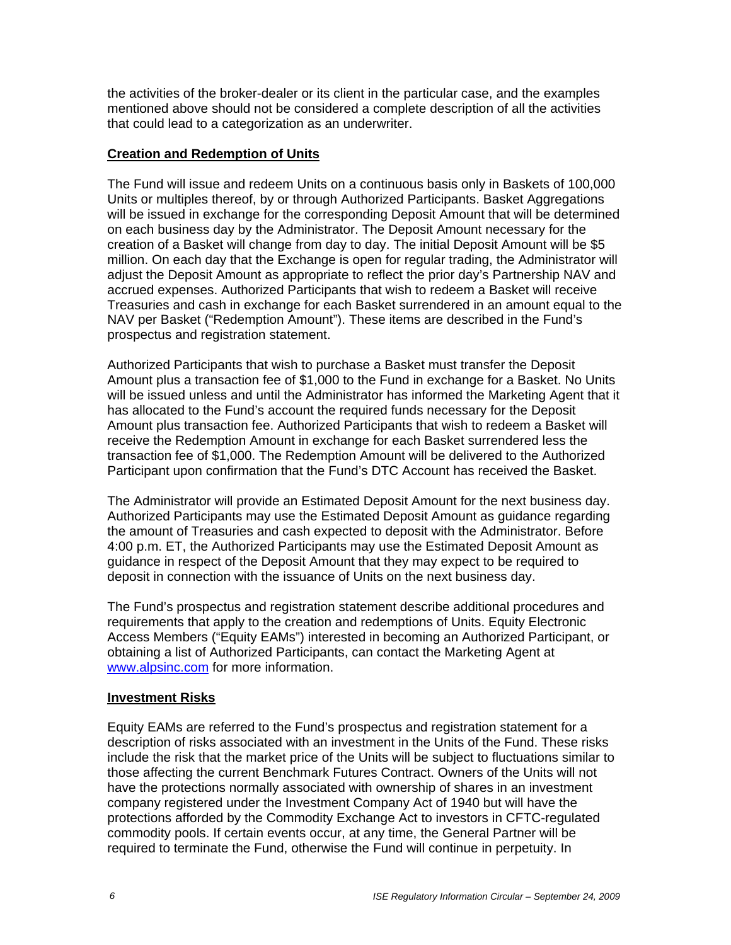the activities of the broker-dealer or its client in the particular case, and the examples mentioned above should not be considered a complete description of all the activities that could lead to a categorization as an underwriter.

## **Creation and Redemption of Units**

The Fund will issue and redeem Units on a continuous basis only in Baskets of 100,000 Units or multiples thereof, by or through Authorized Participants. Basket Aggregations will be issued in exchange for the corresponding Deposit Amount that will be determined on each business day by the Administrator. The Deposit Amount necessary for the creation of a Basket will change from day to day. The initial Deposit Amount will be \$5 million. On each day that the Exchange is open for regular trading, the Administrator will adjust the Deposit Amount as appropriate to reflect the prior day's Partnership NAV and accrued expenses. Authorized Participants that wish to redeem a Basket will receive Treasuries and cash in exchange for each Basket surrendered in an amount equal to the NAV per Basket ("Redemption Amount"). These items are described in the Fund's prospectus and registration statement.

Authorized Participants that wish to purchase a Basket must transfer the Deposit Amount plus a transaction fee of \$1,000 to the Fund in exchange for a Basket. No Units will be issued unless and until the Administrator has informed the Marketing Agent that it has allocated to the Fund's account the required funds necessary for the Deposit Amount plus transaction fee. Authorized Participants that wish to redeem a Basket will receive the Redemption Amount in exchange for each Basket surrendered less the transaction fee of \$1,000. The Redemption Amount will be delivered to the Authorized Participant upon confirmation that the Fund's DTC Account has received the Basket.

The Administrator will provide an Estimated Deposit Amount for the next business day. Authorized Participants may use the Estimated Deposit Amount as guidance regarding the amount of Treasuries and cash expected to deposit with the Administrator. Before 4:00 p.m. ET, the Authorized Participants may use the Estimated Deposit Amount as guidance in respect of the Deposit Amount that they may expect to be required to deposit in connection with the issuance of Units on the next business day.

The Fund's prospectus and registration statement describe additional procedures and requirements that apply to the creation and redemptions of Units. Equity Electronic Access Members ("Equity EAMs") interested in becoming an Authorized Participant, or obtaining a list of Authorized Participants, can contact the Marketing Agent at www.alpsinc.com for more information.

### **Investment Risks**

Equity EAMs are referred to the Fund's prospectus and registration statement for a description of risks associated with an investment in the Units of the Fund. These risks include the risk that the market price of the Units will be subject to fluctuations similar to those affecting the current Benchmark Futures Contract. Owners of the Units will not have the protections normally associated with ownership of shares in an investment company registered under the Investment Company Act of 1940 but will have the protections afforded by the Commodity Exchange Act to investors in CFTC-regulated commodity pools. If certain events occur, at any time, the General Partner will be required to terminate the Fund, otherwise the Fund will continue in perpetuity. In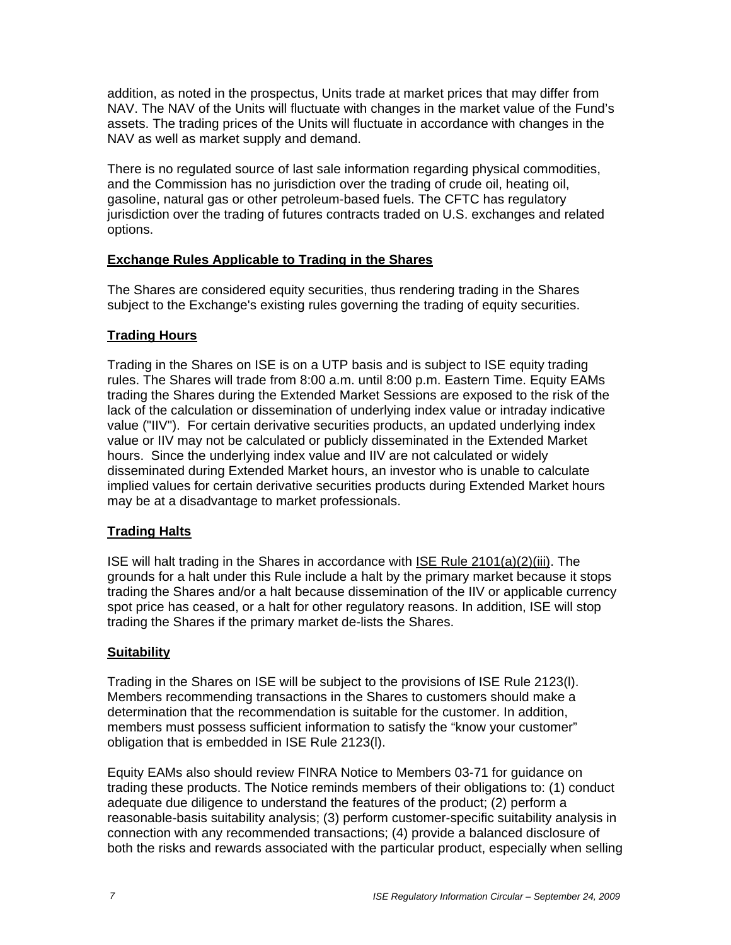addition, as noted in the prospectus, Units trade at market prices that may differ from NAV. The NAV of the Units will fluctuate with changes in the market value of the Fund's assets. The trading prices of the Units will fluctuate in accordance with changes in the NAV as well as market supply and demand.

There is no regulated source of last sale information regarding physical commodities, and the Commission has no jurisdiction over the trading of crude oil, heating oil, gasoline, natural gas or other petroleum-based fuels. The CFTC has regulatory jurisdiction over the trading of futures contracts traded on U.S. exchanges and related options.

## **Exchange Rules Applicable to Trading in the Shares**

The Shares are considered equity securities, thus rendering trading in the Shares subject to the Exchange's existing rules governing the trading of equity securities.

## **Trading Hours**

Trading in the Shares on ISE is on a UTP basis and is subject to ISE equity trading rules. The Shares will trade from 8:00 a.m. until 8:00 p.m. Eastern Time. Equity EAMs trading the Shares during the Extended Market Sessions are exposed to the risk of the lack of the calculation or dissemination of underlying index value or intraday indicative value ("IIV"). For certain derivative securities products, an updated underlying index value or IIV may not be calculated or publicly disseminated in the Extended Market hours. Since the underlying index value and IIV are not calculated or widely disseminated during Extended Market hours, an investor who is unable to calculate implied values for certain derivative securities products during Extended Market hours may be at a disadvantage to market professionals.

# **Trading Halts**

ISE will halt trading in the Shares in accordance with ISE Rule 2101(a)(2)(iii). The grounds for a halt under this Rule include a halt by the primary market because it stops trading the Shares and/or a halt because dissemination of the IIV or applicable currency spot price has ceased, or a halt for other regulatory reasons. In addition, ISE will stop trading the Shares if the primary market de-lists the Shares.

# **Suitability**

Trading in the Shares on ISE will be subject to the provisions of ISE Rule 2123(l). Members recommending transactions in the Shares to customers should make a determination that the recommendation is suitable for the customer. In addition, members must possess sufficient information to satisfy the "know your customer" obligation that is embedded in ISE Rule 2123(l).

Equity EAMs also should review FINRA Notice to Members 03-71 for guidance on trading these products. The Notice reminds members of their obligations to: (1) conduct adequate due diligence to understand the features of the product; (2) perform a reasonable-basis suitability analysis; (3) perform customer-specific suitability analysis in connection with any recommended transactions; (4) provide a balanced disclosure of both the risks and rewards associated with the particular product, especially when selling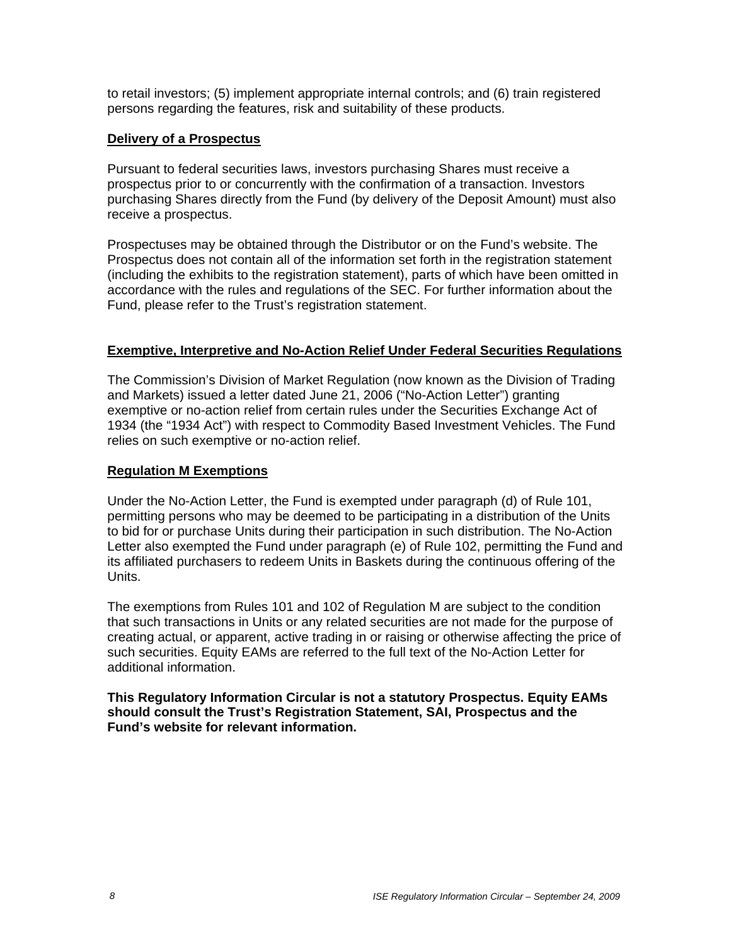to retail investors; (5) implement appropriate internal controls; and (6) train registered persons regarding the features, risk and suitability of these products.

#### **Delivery of a Prospectus**

Pursuant to federal securities laws, investors purchasing Shares must receive a prospectus prior to or concurrently with the confirmation of a transaction. Investors purchasing Shares directly from the Fund (by delivery of the Deposit Amount) must also receive a prospectus.

Prospectuses may be obtained through the Distributor or on the Fund's website. The Prospectus does not contain all of the information set forth in the registration statement (including the exhibits to the registration statement), parts of which have been omitted in accordance with the rules and regulations of the SEC. For further information about the Fund, please refer to the Trust's registration statement.

#### **Exemptive, Interpretive and No-Action Relief Under Federal Securities Regulations**

The Commission's Division of Market Regulation (now known as the Division of Trading and Markets) issued a letter dated June 21, 2006 ("No-Action Letter") granting exemptive or no-action relief from certain rules under the Securities Exchange Act of 1934 (the "1934 Act") with respect to Commodity Based Investment Vehicles. The Fund relies on such exemptive or no-action relief.

#### **Regulation M Exemptions**

Under the No-Action Letter, the Fund is exempted under paragraph (d) of Rule 101, permitting persons who may be deemed to be participating in a distribution of the Units to bid for or purchase Units during their participation in such distribution. The No-Action Letter also exempted the Fund under paragraph (e) of Rule 102, permitting the Fund and its affiliated purchasers to redeem Units in Baskets during the continuous offering of the Units.

The exemptions from Rules 101 and 102 of Regulation M are subject to the condition that such transactions in Units or any related securities are not made for the purpose of creating actual, or apparent, active trading in or raising or otherwise affecting the price of such securities. Equity EAMs are referred to the full text of the No-Action Letter for additional information.

**This Regulatory Information Circular is not a statutory Prospectus. Equity EAMs should consult the Trust's Registration Statement, SAI, Prospectus and the Fund's website for relevant information.**